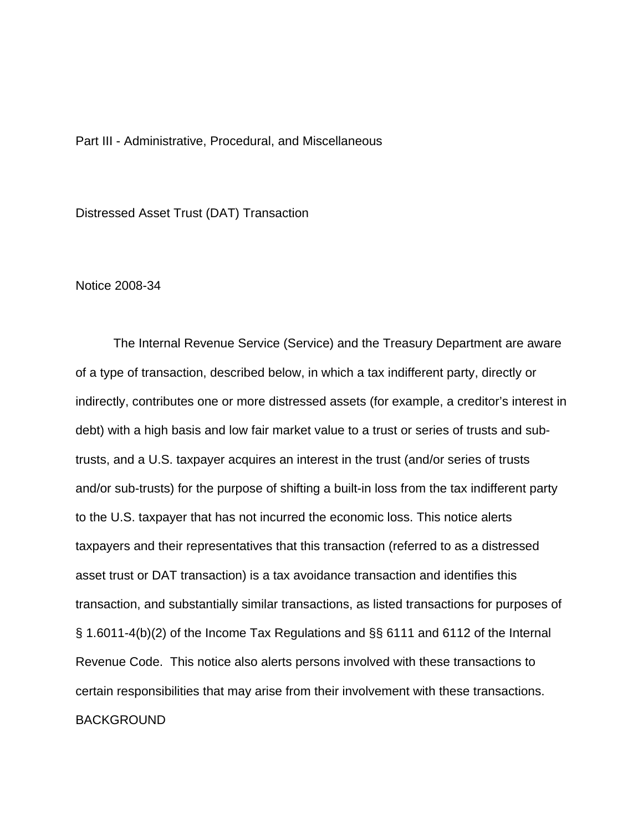Part III - Administrative, Procedural, and Miscellaneous

Distressed Asset Trust (DAT) Transaction

Notice 2008-34

 The Internal Revenue Service (Service) and the Treasury Department are aware of a type of transaction, described below, in which a tax indifferent party, directly or indirectly, contributes one or more distressed assets (for example, a creditor's interest in debt) with a high basis and low fair market value to a trust or series of trusts and subtrusts, and a U.S. taxpayer acquires an interest in the trust (and/or series of trusts and/or sub-trusts) for the purpose of shifting a built-in loss from the tax indifferent party to the U.S. taxpayer that has not incurred the economic loss. This notice alerts taxpayers and their representatives that this transaction (referred to as a distressed asset trust or DAT transaction) is a tax avoidance transaction and identifies this transaction, and substantially similar transactions, as listed transactions for purposes of § 1.6011-4(b)(2) of the Income Tax Regulations and §§ 6111 and 6112 of the Internal Revenue Code. This notice also alerts persons involved with these transactions to certain responsibilities that may arise from their involvement with these transactions. BACKGROUND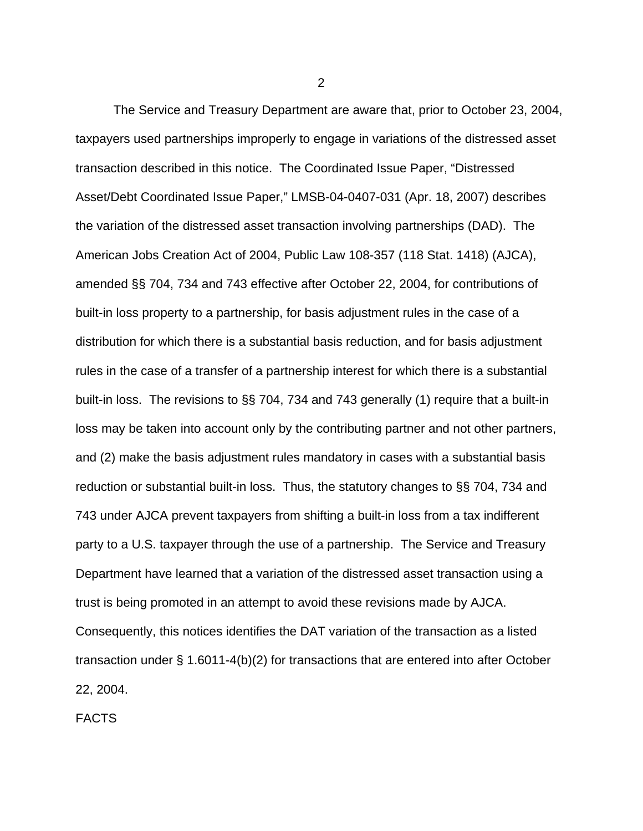The Service and Treasury Department are aware that, prior to October 23, 2004, taxpayers used partnerships improperly to engage in variations of the distressed asset transaction described in this notice. The Coordinated Issue Paper, "Distressed Asset/Debt Coordinated Issue Paper," LMSB-04-0407-031 (Apr. 18, 2007) describes the variation of the distressed asset transaction involving partnerships (DAD). The American Jobs Creation Act of 2004, Public Law 108-357 (118 Stat. 1418) (AJCA), amended §§ 704, 734 and 743 effective after October 22, 2004, for contributions of built-in loss property to a partnership, for basis adjustment rules in the case of a distribution for which there is a substantial basis reduction, and for basis adjustment rules in the case of a transfer of a partnership interest for which there is a substantial built-in loss. The revisions to §§ 704, 734 and 743 generally (1) require that a built-in loss may be taken into account only by the contributing partner and not other partners, and (2) make the basis adjustment rules mandatory in cases with a substantial basis reduction or substantial built-in loss. Thus, the statutory changes to §§ 704, 734 and 743 under AJCA prevent taxpayers from shifting a built-in loss from a tax indifferent party to a U.S. taxpayer through the use of a partnership. The Service and Treasury Department have learned that a variation of the distressed asset transaction using a trust is being promoted in an attempt to avoid these revisions made by AJCA. Consequently, this notices identifies the DAT variation of the transaction as a listed transaction under § 1.6011-4(b)(2) for transactions that are entered into after October 22, 2004.

FACTS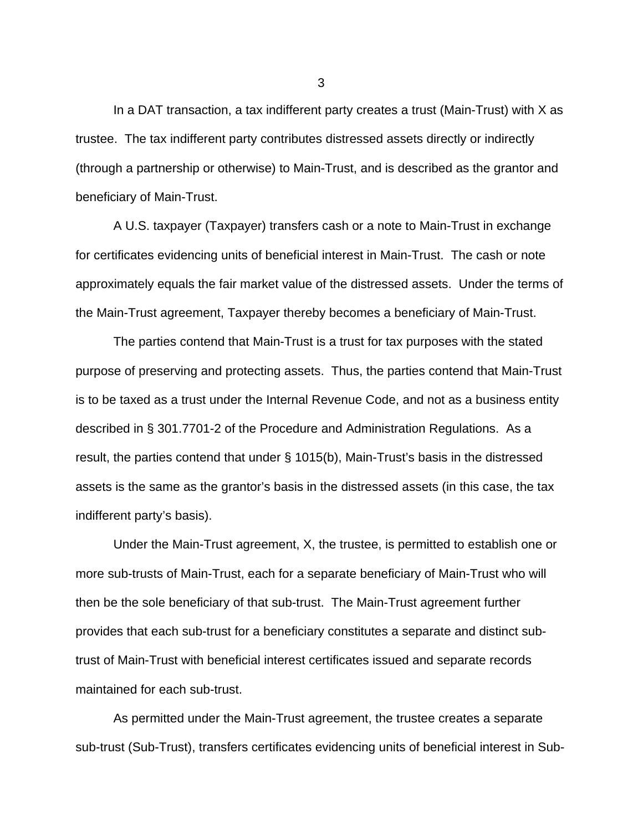In a DAT transaction, a tax indifferent party creates a trust (Main-Trust) with X as trustee. The tax indifferent party contributes distressed assets directly or indirectly (through a partnership or otherwise) to Main-Trust, and is described as the grantor and beneficiary of Main-Trust.

A U.S. taxpayer (Taxpayer) transfers cash or a note to Main-Trust in exchange for certificates evidencing units of beneficial interest in Main-Trust. The cash or note approximately equals the fair market value of the distressed assets. Under the terms of the Main-Trust agreement, Taxpayer thereby becomes a beneficiary of Main-Trust.

The parties contend that Main-Trust is a trust for tax purposes with the stated purpose of preserving and protecting assets. Thus, the parties contend that Main-Trust is to be taxed as a trust under the Internal Revenue Code, and not as a business entity described in § 301.7701-2 of the Procedure and Administration Regulations. As a result, the parties contend that under § 1015(b), Main-Trust's basis in the distressed assets is the same as the grantor's basis in the distressed assets (in this case, the tax indifferent party's basis).

Under the Main-Trust agreement, X, the trustee, is permitted to establish one or more sub-trusts of Main-Trust, each for a separate beneficiary of Main-Trust who will then be the sole beneficiary of that sub-trust. The Main-Trust agreement further provides that each sub-trust for a beneficiary constitutes a separate and distinct subtrust of Main-Trust with beneficial interest certificates issued and separate records maintained for each sub-trust.

As permitted under the Main-Trust agreement, the trustee creates a separate sub-trust (Sub-Trust), transfers certificates evidencing units of beneficial interest in Sub-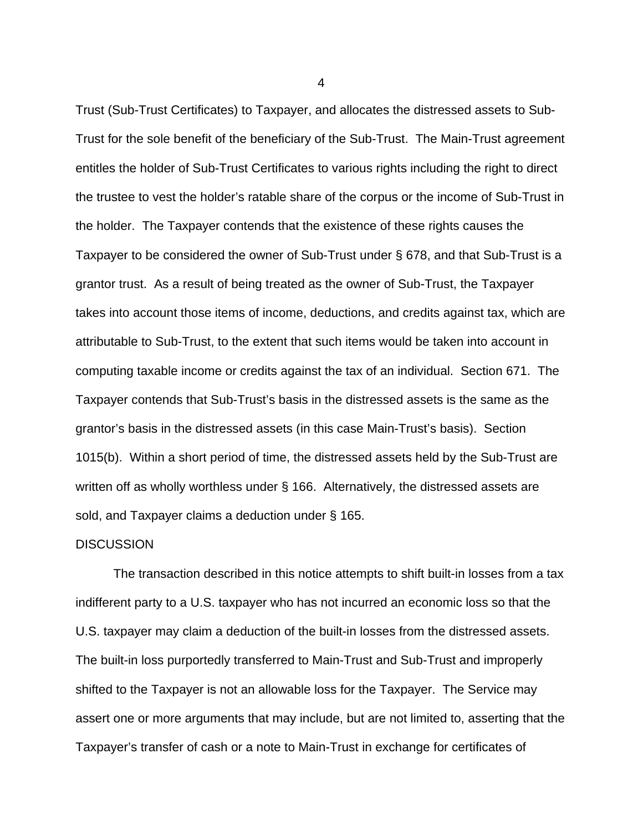Trust (Sub-Trust Certificates) to Taxpayer, and allocates the distressed assets to Sub-Trust for the sole benefit of the beneficiary of the Sub-Trust. The Main-Trust agreement entitles the holder of Sub-Trust Certificates to various rights including the right to direct the trustee to vest the holder's ratable share of the corpus or the income of Sub-Trust in the holder. The Taxpayer contends that the existence of these rights causes the Taxpayer to be considered the owner of Sub-Trust under § 678, and that Sub-Trust is a grantor trust. As a result of being treated as the owner of Sub-Trust, the Taxpayer takes into account those items of income, deductions, and credits against tax, which are attributable to Sub-Trust, to the extent that such items would be taken into account in computing taxable income or credits against the tax of an individual. Section 671. The Taxpayer contends that Sub-Trust's basis in the distressed assets is the same as the grantor's basis in the distressed assets (in this case Main-Trust's basis). Section 1015(b). Within a short period of time, the distressed assets held by the Sub-Trust are written off as wholly worthless under § 166. Alternatively, the distressed assets are sold, and Taxpayer claims a deduction under § 165.

## **DISCUSSION**

 The transaction described in this notice attempts to shift built-in losses from a tax indifferent party to a U.S. taxpayer who has not incurred an economic loss so that the U.S. taxpayer may claim a deduction of the built-in losses from the distressed assets. The built-in loss purportedly transferred to Main-Trust and Sub-Trust and improperly shifted to the Taxpayer is not an allowable loss for the Taxpayer. The Service may assert one or more arguments that may include, but are not limited to, asserting that the Taxpayer's transfer of cash or a note to Main-Trust in exchange for certificates of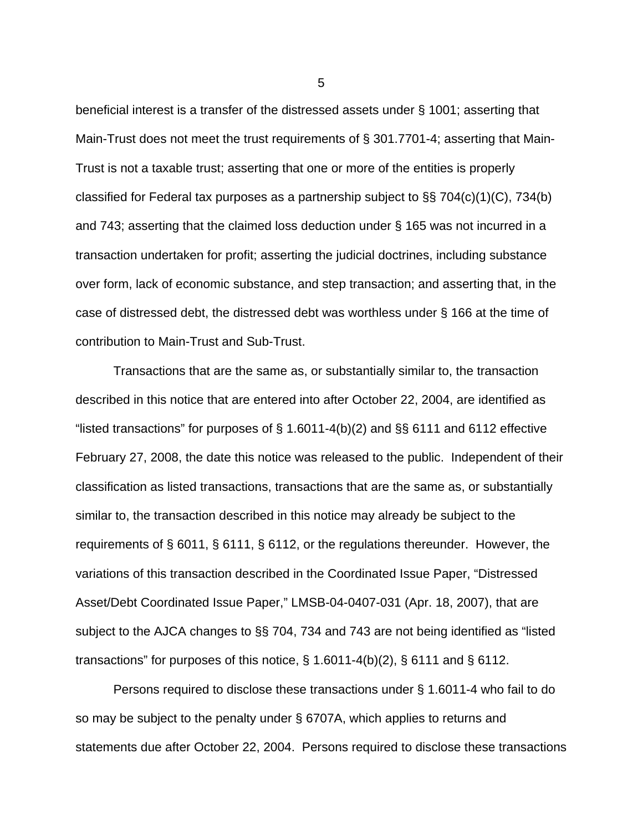beneficial interest is a transfer of the distressed assets under § 1001; asserting that Main-Trust does not meet the trust requirements of § 301.7701-4; asserting that Main-Trust is not a taxable trust; asserting that one or more of the entities is properly classified for Federal tax purposes as a partnership subject to §§ 704(c)(1)(C), 734(b) and 743; asserting that the claimed loss deduction under § 165 was not incurred in a transaction undertaken for profit; asserting the judicial doctrines, including substance over form, lack of economic substance, and step transaction; and asserting that, in the case of distressed debt, the distressed debt was worthless under § 166 at the time of contribution to Main-Trust and Sub-Trust.

 Transactions that are the same as, or substantially similar to, the transaction described in this notice that are entered into after October 22, 2004, are identified as "listed transactions" for purposes of  $\S$  1.6011-4(b)(2) and  $\S$  $\S$  6111 and 6112 effective February 27, 2008, the date this notice was released to the public. Independent of their classification as listed transactions, transactions that are the same as, or substantially similar to, the transaction described in this notice may already be subject to the requirements of § 6011, § 6111, § 6112, or the regulations thereunder. However, the variations of this transaction described in the Coordinated Issue Paper, "Distressed Asset/Debt Coordinated Issue Paper," LMSB-04-0407-031 (Apr. 18, 2007), that are subject to the AJCA changes to §§ 704, 734 and 743 are not being identified as "listed transactions" for purposes of this notice, § 1.6011-4(b)(2), § 6111 and § 6112.

Persons required to disclose these transactions under § 1.6011-4 who fail to do so may be subject to the penalty under § 6707A, which applies to returns and statements due after October 22, 2004. Persons required to disclose these transactions